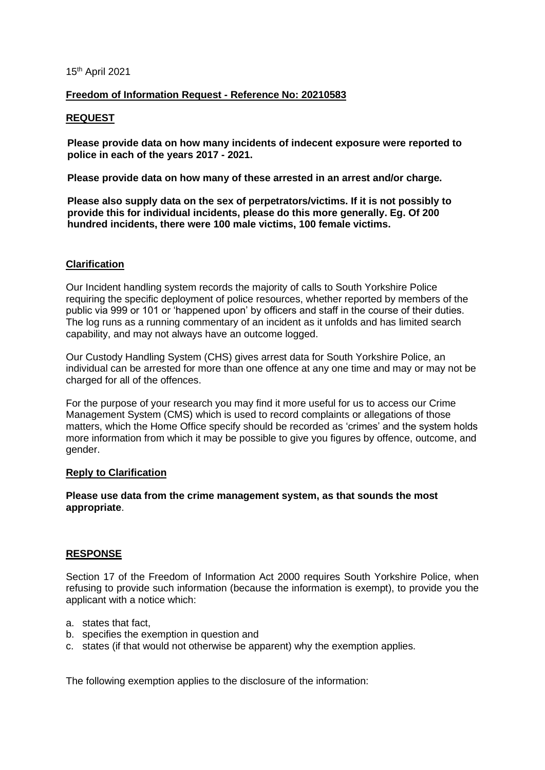#### 15th April 2021

## **Freedom of Information Request - Reference No: 20210583**

## **REQUEST**

**Please provide data on how many incidents of indecent exposure were reported to police in each of the years 2017 - 2021.**

**Please provide data on how many of these arrested in an arrest and/or charge.**

**Please also supply data on the sex of perpetrators/victims. If it is not possibly to provide this for individual incidents, please do this more generally. Eg. Of 200 hundred incidents, there were 100 male victims, 100 female victims.**

## **Clarification**

Our Incident handling system records the majority of calls to South Yorkshire Police requiring the specific deployment of police resources, whether reported by members of the public via 999 or 101 or 'happened upon' by officers and staff in the course of their duties. The log runs as a running commentary of an incident as it unfolds and has limited search capability, and may not always have an outcome logged.

Our Custody Handling System (CHS) gives arrest data for South Yorkshire Police, an individual can be arrested for more than one offence at any one time and may or may not be charged for all of the offences.

For the purpose of your research you may find it more useful for us to access our Crime Management System (CMS) which is used to record complaints or allegations of those matters, which the Home Office specify should be recorded as 'crimes' and the system holds more information from which it may be possible to give you figures by offence, outcome, and gender.

#### **Reply to Clarification**

**Please use data from the crime management system, as that sounds the most appropriate**.

# **RESPONSE**

Section 17 of the Freedom of Information Act 2000 requires South Yorkshire Police, when refusing to provide such information (because the information is exempt), to provide you the applicant with a notice which:

- a. states that fact,
- b. specifies the exemption in question and
- c. states (if that would not otherwise be apparent) why the exemption applies.

The following exemption applies to the disclosure of the information: